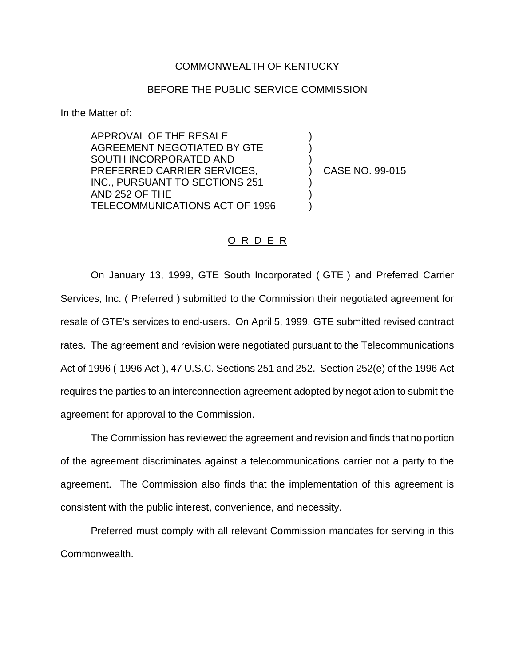## COMMONWEALTH OF KENTUCKY

## BEFORE THE PUBLIC SERVICE COMMISSION

In the Matter of:

APPROVAL OF THE RESALE AGREEMENT NEGOTIATED BY GTE SOUTH INCORPORATED AND PREFERRED CARRIER SERVICES, INC., PURSUANT TO SECTIONS 251 AND 252 OF THE TELECOMMUNICATIONS ACT OF 1996

) CASE NO. 99-015

) ) )

) ) )

## O R D E R

On January 13, 1999, GTE South Incorporated ( GTE ) and Preferred Carrier Services, Inc. ( Preferred ) submitted to the Commission their negotiated agreement for resale of GTE's services to end-users. On April 5, 1999, GTE submitted revised contract rates. The agreement and revision were negotiated pursuant to the Telecommunications Act of 1996 ( 1996 Act ), 47 U.S.C. Sections 251 and 252. Section 252(e) of the 1996 Act requires the parties to an interconnection agreement adopted by negotiation to submit the agreement for approval to the Commission.

The Commission has reviewed the agreement and revision and finds that no portion of the agreement discriminates against a telecommunications carrier not a party to the agreement. The Commission also finds that the implementation of this agreement is consistent with the public interest, convenience, and necessity.

Preferred must comply with all relevant Commission mandates for serving in this Commonwealth.